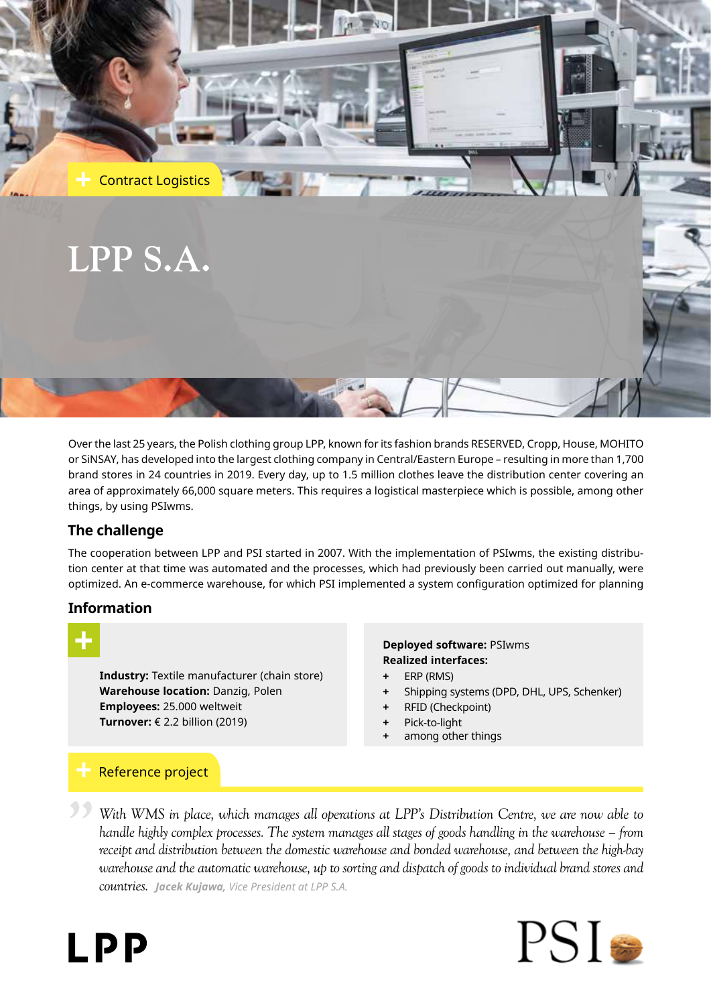

Over the last 25 years, the Polish clothing group LPP, known for its fashion brands RESERVED, Cropp, House, MOHITO or SiNSAY, has developed into the largest clothing company in Central/Eastern Europe – resulting in more than 1,700 brand stores in 24 countries in 2019. Every day, up to 1.5 million clothes leave the distribution center covering an area of approximately 66,000 square meters. This requires a logistical masterpiece which is possible, among other things, by using PSIwms.

# **The challenge**

The cooperation between LPP and PSI started in 2007. With the implementation of PSIwms, the existing distribution center at that time was automated and the processes, which had previously been carried out manually, were optimized. An e-commerce warehouse, for which PSI implemented a system configuration optimized for planning

## **Information**

**Industry:** Textile manufacturer (chain store) **Warehouse location:** Danzig, Polen **Employees:** 25.000 weltweit **Turnover:** € 2.2 billion (2019)

#### **Deployed software:** PSIwms **Realized interfaces:**

- **+** ERP (RMS)
- **+** Shipping systems (DPD, DHL, UPS, Schenker)
- **+** RFID (Checkpoint)
- **+** Pick-to-light
- **+** among other things

# Reference project

*With WMS in place, which manages all operations at LPP's Distribution Centre, we are now able to handle highly complex processes. The system manages all stages of goods handling in the warehouse – from receipt and distribution between the domestic warehouse and bonded warehouse, and between the high-bay warehouse and the automatic warehouse, up to sorting and dispatch of goods to individual brand stores and countries. Jacek Kujawa, Vice President at LPP S.A.* **"**